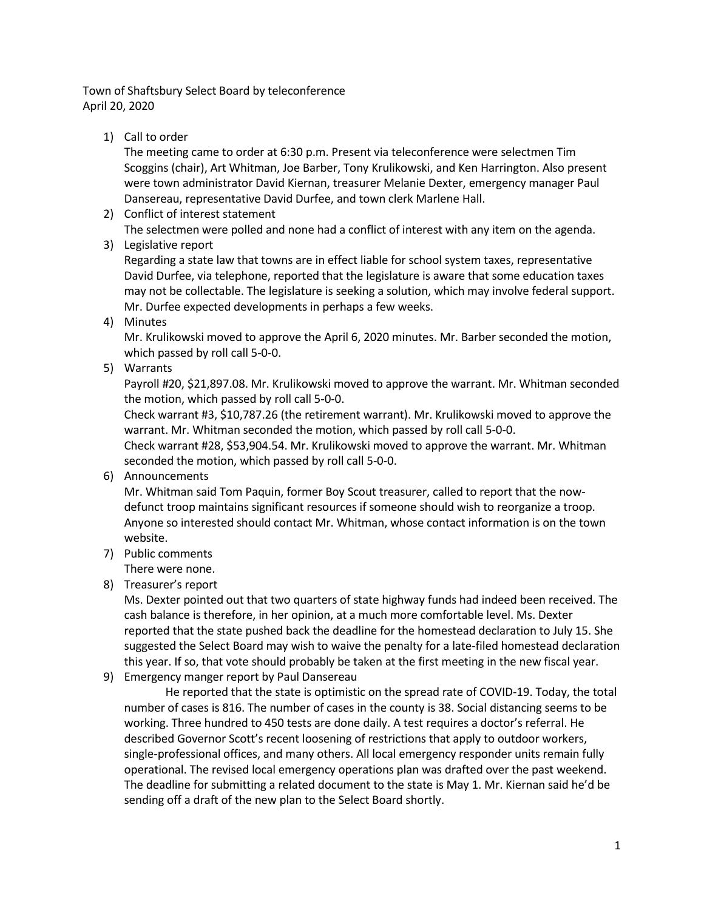Town of Shaftsbury Select Board by teleconference April 20, 2020

1) Call to order

The meeting came to order at 6:30 p.m. Present via teleconference were selectmen Tim Scoggins (chair), Art Whitman, Joe Barber, Tony Krulikowski, and Ken Harrington. Also present were town administrator David Kiernan, treasurer Melanie Dexter, emergency manager Paul Dansereau, representative David Durfee, and town clerk Marlene Hall.

- 2) Conflict of interest statement The selectmen were polled and none had a conflict of interest with any item on the agenda.
- 3) Legislative report

Regarding a state law that towns are in effect liable for school system taxes, representative David Durfee, via telephone, reported that the legislature is aware that some education taxes may not be collectable. The legislature is seeking a solution, which may involve federal support. Mr. Durfee expected developments in perhaps a few weeks.

4) Minutes

Mr. Krulikowski moved to approve the April 6, 2020 minutes. Mr. Barber seconded the motion, which passed by roll call 5-0-0.

5) Warrants

Payroll #20, \$21,897.08. Mr. Krulikowski moved to approve the warrant. Mr. Whitman seconded the motion, which passed by roll call 5-0-0.

Check warrant #3, \$10,787.26 (the retirement warrant). Mr. Krulikowski moved to approve the warrant. Mr. Whitman seconded the motion, which passed by roll call 5-0-0.

Check warrant #28, \$53,904.54. Mr. Krulikowski moved to approve the warrant. Mr. Whitman seconded the motion, which passed by roll call 5-0-0.

6) Announcements

Mr. Whitman said Tom Paquin, former Boy Scout treasurer, called to report that the nowdefunct troop maintains significant resources if someone should wish to reorganize a troop. Anyone so interested should contact Mr. Whitman, whose contact information is on the town website.

7) Public comments

There were none.

8) Treasurer's report

Ms. Dexter pointed out that two quarters of state highway funds had indeed been received. The cash balance is therefore, in her opinion, at a much more comfortable level. Ms. Dexter reported that the state pushed back the deadline for the homestead declaration to July 15. She suggested the Select Board may wish to waive the penalty for a late-filed homestead declaration this year. If so, that vote should probably be taken at the first meeting in the new fiscal year.

9) Emergency manger report by Paul Dansereau

He reported that the state is optimistic on the spread rate of COVID-19. Today, the total number of cases is 816. The number of cases in the county is 38. Social distancing seems to be working. Three hundred to 450 tests are done daily. A test requires a doctor's referral. He described Governor Scott's recent loosening of restrictions that apply to outdoor workers, single-professional offices, and many others. All local emergency responder units remain fully operational. The revised local emergency operations plan was drafted over the past weekend. The deadline for submitting a related document to the state is May 1. Mr. Kiernan said he'd be sending off a draft of the new plan to the Select Board shortly.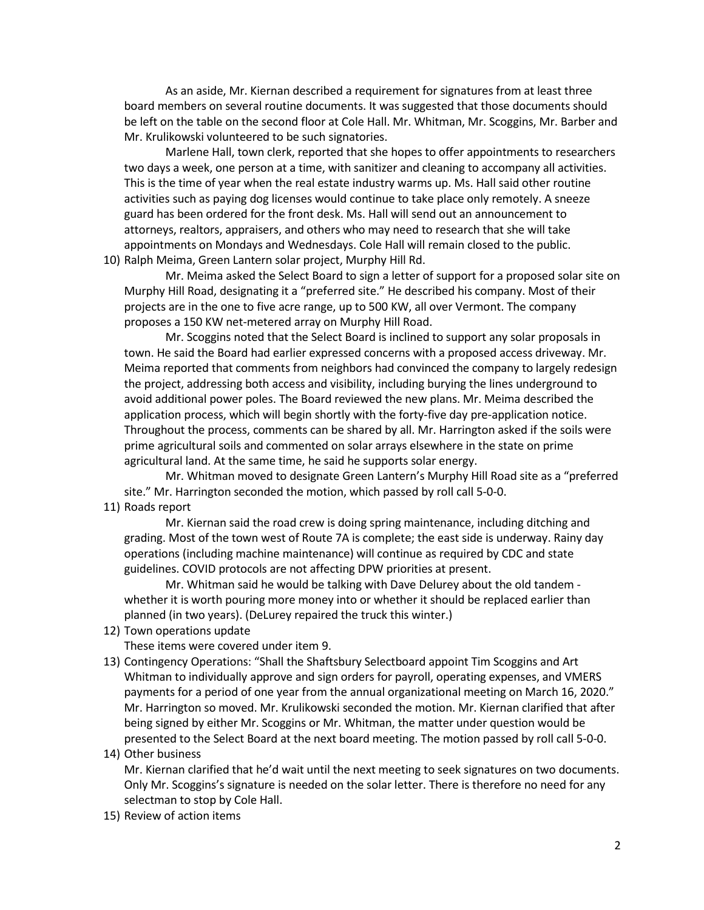As an aside, Mr. Kiernan described a requirement for signatures from at least three board members on several routine documents. It was suggested that those documents should be left on the table on the second floor at Cole Hall. Mr. Whitman, Mr. Scoggins, Mr. Barber and Mr. Krulikowski volunteered to be such signatories.

Marlene Hall, town clerk, reported that she hopes to offer appointments to researchers two days a week, one person at a time, with sanitizer and cleaning to accompany all activities. This is the time of year when the real estate industry warms up. Ms. Hall said other routine activities such as paying dog licenses would continue to take place only remotely. A sneeze guard has been ordered for the front desk. Ms. Hall will send out an announcement to attorneys, realtors, appraisers, and others who may need to research that she will take appointments on Mondays and Wednesdays. Cole Hall will remain closed to the public. 10) Ralph Meima, Green Lantern solar project, Murphy Hill Rd.

Mr. Meima asked the Select Board to sign a letter of support for a proposed solar site on Murphy Hill Road, designating it a "preferred site." He described his company. Most of their projects are in the one to five acre range, up to 500 KW, all over Vermont. The company proposes a 150 KW net-metered array on Murphy Hill Road.

Mr. Scoggins noted that the Select Board is inclined to support any solar proposals in town. He said the Board had earlier expressed concerns with a proposed access driveway. Mr. Meima reported that comments from neighbors had convinced the company to largely redesign the project, addressing both access and visibility, including burying the lines underground to avoid additional power poles. The Board reviewed the new plans. Mr. Meima described the application process, which will begin shortly with the forty-five day pre-application notice. Throughout the process, comments can be shared by all. Mr. Harrington asked if the soils were prime agricultural soils and commented on solar arrays elsewhere in the state on prime agricultural land. At the same time, he said he supports solar energy.

Mr. Whitman moved to designate Green Lantern's Murphy Hill Road site as a "preferred site." Mr. Harrington seconded the motion, which passed by roll call 5-0-0.

11) Roads report

Mr. Kiernan said the road crew is doing spring maintenance, including ditching and grading. Most of the town west of Route 7A is complete; the east side is underway. Rainy day operations (including machine maintenance) will continue as required by CDC and state guidelines. COVID protocols are not affecting DPW priorities at present.

Mr. Whitman said he would be talking with Dave Delurey about the old tandem whether it is worth pouring more money into or whether it should be replaced earlier than planned (in two years). (DeLurey repaired the truck this winter.)

12) Town operations update

These items were covered under item 9.

13) Contingency Operations: "Shall the Shaftsbury Selectboard appoint Tim Scoggins and Art Whitman to individually approve and sign orders for payroll, operating expenses, and VMERS payments for a period of one year from the annual organizational meeting on March 16, 2020." Mr. Harrington so moved. Mr. Krulikowski seconded the motion. Mr. Kiernan clarified that after being signed by either Mr. Scoggins or Mr. Whitman, the matter under question would be presented to the Select Board at the next board meeting. The motion passed by roll call 5-0-0.

## 14) Other business

Mr. Kiernan clarified that he'd wait until the next meeting to seek signatures on two documents. Only Mr. Scoggins's signature is needed on the solar letter. There is therefore no need for any selectman to stop by Cole Hall.

15) Review of action items